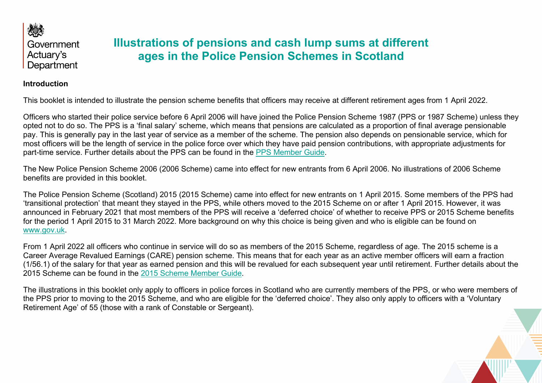

# **Illustrations of pensions and cash lump sums at different ages in the Police Pension Schemes in Scotland**

#### **Introduction**

This booklet is intended to illustrate the pension scheme benefits that officers may receive at different retirement ages from 1 April 2022.

Officers who started their police service before 6 April 2006 will have joined the Police Pension Scheme 1987 (PPS or 1987 Scheme) unless they opted not to do so. The PPS is a 'final salary' scheme, which means that pensions are calculated as a proportion of final average pensionable pay. This is generally pay in the last year of service as a member of the scheme. The pension also depends on pensionable service, which for most officers will be the length of service in the police force over which they have paid pension contributions, with appropriate adjustments for part-time service. Further details about the PPS can be found in the [PPS Member Guide.](https://pensions.gov.scot/sites/default/files/2020-02/PPS_1987_Members_Guide.pdf)

The New Police Pension Scheme 2006 (2006 Scheme) came into effect for new entrants from 6 April 2006. No illustrations of 2006 Scheme benefits are provided in this booklet.

The Police Pension Scheme (Scotland) 2015 (2015 Scheme) came into effect for new entrants on 1 April 2015. Some members of the PPS had 'transitional protection' that meant they stayed in the PPS, while others moved to the 2015 Scheme on or after 1 April 2015. However, it was announced in February 2021 that most members of the PPS will receive a 'deferred choice' of whether to receive PPS or 2015 Scheme benefits for the period 1 April 2015 to 31 March 2022. More background on why this choice is being given and who is eligible can be found on [www.gov.uk.](https://www.gov.uk/government/publications/public-service-pensions-and-judicial-offices-bill/guidance-on-the-public-service-pensions-and-judicial-offices-bill)

From 1 April 2022 all officers who continue in service will do so as members of the 2015 Scheme, regardless of age. The 2015 scheme is a Career Average Revalued Earnings (CARE) pension scheme. This means that for each year as an active member officers will earn a fraction (1/56.1) of the salary for that year as earned pension and this will be revalued for each subsequent year until retirement. Further details about the 2015 Scheme can be found in the [2015 Scheme Member Guide.](https://pensions.gov.scot/sites/default/files/2019-12/Police_2015_guide.pdf)

The illustrations in this booklet only apply to officers in police forces in Scotland who are currently members of the PPS, or who were members of the PPS prior to moving to the 2015 Scheme, and who are eligible for the 'deferred choice'. They also only apply to officers with a 'Voluntary Retirement Age' of 55 (those with a rank of Constable or Sergeant).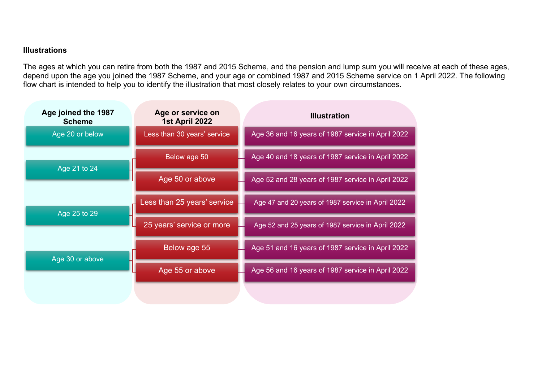## **Illustrations**

The ages at which you can retire from both the 1987 and 2015 Scheme, and the pension and lump sum you will receive at each of these ages, depend upon the age you joined the 1987 Scheme, and your age or combined 1987 and 2015 Scheme service on 1 April 2022. The following flow chart is intended to help you to identify the illustration that most closely relates to your own circumstances.

| Age joined the 1987<br><b>Scheme</b> | Age or service on<br>1st April 2022 | <b>Illustration</b>                               |
|--------------------------------------|-------------------------------------|---------------------------------------------------|
| Age 20 or below                      | Less than 30 years' service         | Age 36 and 16 years of 1987 service in April 2022 |
| Age 21 to 24                         | Below age 50                        | Age 40 and 18 years of 1987 service in April 2022 |
|                                      | Age 50 or above                     | Age 52 and 28 years of 1987 service in April 2022 |
| Age 25 to 29<br>Age 30 or above      | Less than 25 years' service         | Age 47 and 20 years of 1987 service in April 2022 |
|                                      | 25 years' service or more           | Age 52 and 25 years of 1987 service in April 2022 |
|                                      | Below age 55                        | Age 51 and 16 years of 1987 service in April 2022 |
|                                      | Age 55 or above                     | Age 56 and 16 years of 1987 service in April 2022 |
|                                      |                                     |                                                   |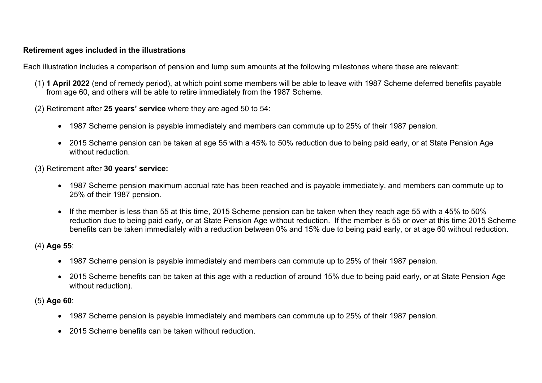## **Retirement ages included in the illustrations**

Each illustration includes a comparison of pension and lump sum amounts at the following milestones where these are relevant:

- (1) **1 April 2022** (end of remedy period), at which point some members will be able to leave with 1987 Scheme deferred benefits payable from age 60, and others will be able to retire immediately from the 1987 Scheme.
- (2) Retirement after **25 years' service** where they are aged 50 to 54:
	- 1987 Scheme pension is payable immediately and members can commute up to 25% of their 1987 pension.
	- 2015 Scheme pension can be taken at age 55 with a 45% to 50% reduction due to being paid early, or at State Pension Age without reduction.
- (3) Retirement after **30 years' service:**
	- 1987 Scheme pension maximum accrual rate has been reached and is payable immediately, and members can commute up to 25% of their 1987 pension.
	- If the member is less than 55 at this time, 2015 Scheme pension can be taken when they reach age 55 with a 45% to 50% reduction due to being paid early, or at State Pension Age without reduction. If the member is 55 or over at this time 2015 Scheme benefits can be taken immediately with a reduction between 0% and 15% due to being paid early, or at age 60 without reduction.

## (4) **Age 55**:

- 1987 Scheme pension is payable immediately and members can commute up to 25% of their 1987 pension.
- 2015 Scheme benefits can be taken at this age with a reduction of around 15% due to being paid early, or at State Pension Age without reduction).

## (5) **Age 60**:

- 1987 Scheme pension is payable immediately and members can commute up to 25% of their 1987 pension.
- 2015 Scheme benefits can be taken without reduction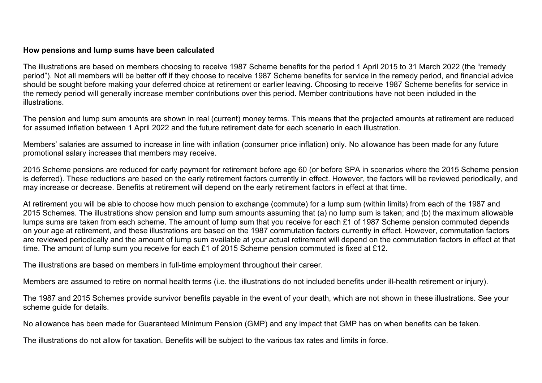#### **How pensions and lump sums have been calculated**

The illustrations are based on members choosing to receive 1987 Scheme benefits for the period 1 April 2015 to 31 March 2022 (the "remedy period"). Not all members will be better off if they choose to receive 1987 Scheme benefits for service in the remedy period, and financial advice should be sought before making your deferred choice at retirement or earlier leaving. Choosing to receive 1987 Scheme benefits for service in the remedy period will generally increase member contributions over this period. Member contributions have not been included in the illustrations.

The pension and lump sum amounts are shown in real (current) money terms. This means that the projected amounts at retirement are reduced for assumed inflation between 1 April 2022 and the future retirement date for each scenario in each illustration.

Members' salaries are assumed to increase in line with inflation (consumer price inflation) only. No allowance has been made for any future promotional salary increases that members may receive.

2015 Scheme pensions are reduced for early payment for retirement before age 60 (or before SPA in scenarios where the 2015 Scheme pension is deferred). These reductions are based on the early retirement factors currently in effect. However, the factors will be reviewed periodically, and may increase or decrease. Benefits at retirement will depend on the early retirement factors in effect at that time.

At retirement you will be able to choose how much pension to exchange (commute) for a lump sum (within limits) from each of the 1987 and 2015 Schemes. The illustrations show pension and lump sum amounts assuming that (a) no lump sum is taken; and (b) the maximum allowable lumps sums are taken from each scheme. The amount of lump sum that you receive for each £1 of 1987 Scheme pension commuted depends on your age at retirement, and these illustrations are based on the 1987 commutation factors currently in effect. However, commutation factors are reviewed periodically and the amount of lump sum available at your actual retirement will depend on the commutation factors in effect at that time. The amount of lump sum you receive for each £1 of 2015 Scheme pension commuted is fixed at £12.

The illustrations are based on members in full-time employment throughout their career.

Members are assumed to retire on normal health terms (i.e. the illustrations do not included benefits under ill-health retirement or injury).

The 1987 and 2015 Schemes provide survivor benefits payable in the event of your death, which are not shown in these illustrations. See your scheme guide for details.

No allowance has been made for Guaranteed Minimum Pension (GMP) and any impact that GMP has on when benefits can be taken.

The illustrations do not allow for taxation. Benefits will be subject to the various tax rates and limits in force.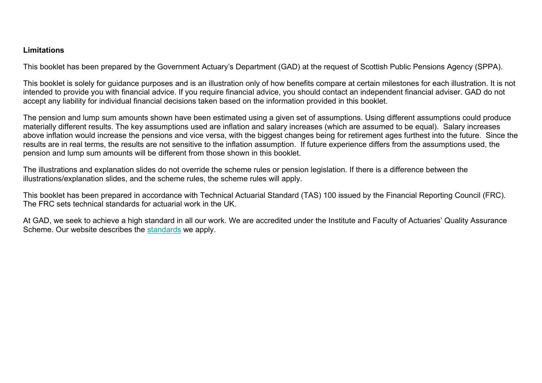## **Limitations**

This booklet has been prepared by the Government Actuary's Department (GAD) at the request of Scottish Public Pensions Agency (SPPA).

This booklet is solely for guidance purposes and is an illustration only of how benefits compare at certain milestones for each illustration. It is not intended to provide you with financial advice. If you require financial advice, you should contact an independent financial adviser. GAD do not accept any liability for individual financial decisions taken based on the information provided in this booklet.

The pension and lump sum amounts shown have been estimated using a given set of assumptions. Using different assumptions could produce materially different results. The key assumptions used are inflation and salary increases (which are assumed to be equal). Salary increases above inflation would increase the pensions and vice versa, with the biggest changes being for retirement ages furthest into the future. Since the results are in real terms, the results are not sensitive to the inflation assumption. If future experience differs from the assumptions used, the pension and lump sum amounts will be different from those shown in this booklet.

The illustrations and explanation slides do not override the scheme rules or pension legislation. If there is a difference between the illustrations/explanation slides, and the scheme rules, the scheme rules will apply.

This booklet has been prepared in accordance with Technical Actuarial Standard (TAS) 100 issued by the Financial Reporting Council (FRC). The FRC sets technical standards for actuarial work in the UK.

At GAD, we seek to achieve a high standard in all our work. We are accredited under the Institute and Faculty of Actuaries' Quality Assurance Scheme. Our website describes the [standards](https://www.gov.uk/government/organisations/government-actuarys-department/about/terms-of-reference) we apply.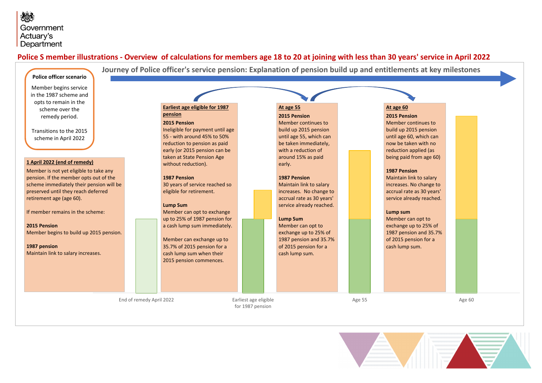### <span id="page-5-0"></span>**Police S member illustrations - Overview of calculations for members age 18 to 20 at joining with less than 30 years' service in April 2022**



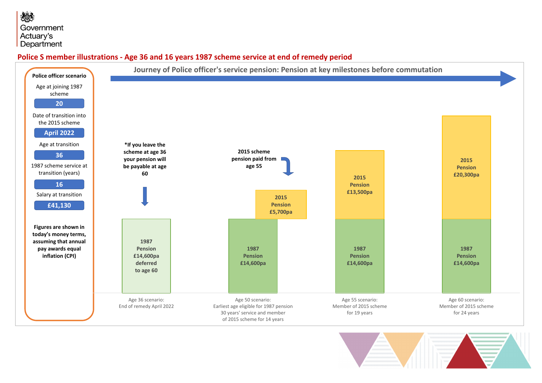## **Police S member illustrations - Age 36 and 16 years 1987 scheme service at end of remedy period**



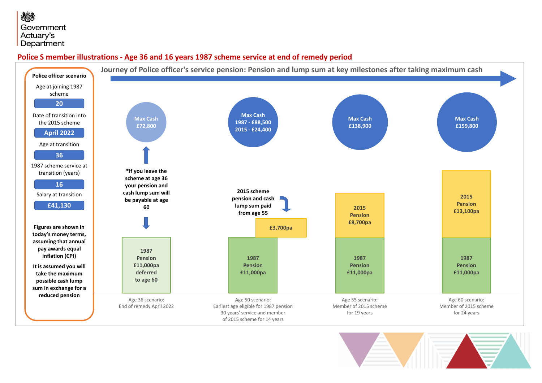## **Police S member illustrations - Age 36 and 16 years 1987 scheme service at end of remedy period**



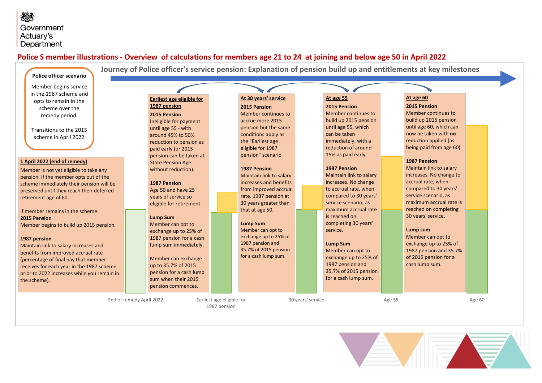## <span id="page-8-0"></span>**Police S member illustrations - Overview of calculations for members age 21 to 24 at joining and below age 50 in April 2022**



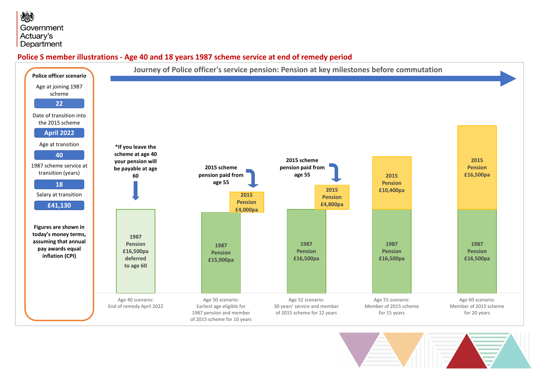**Police S member illustrations - Age 40 and 18 years 1987 scheme service at end of remedy period**



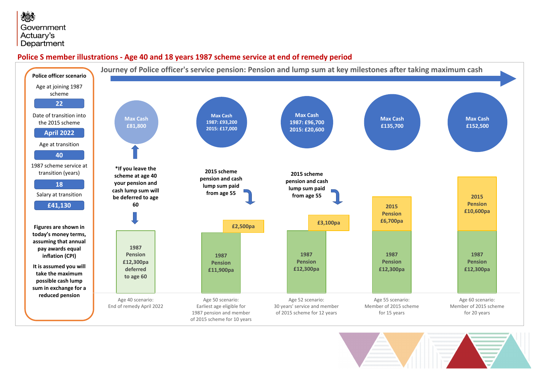## **Police S member illustrations - Age 40 and 18 years 1987 scheme service at end of remedy period**



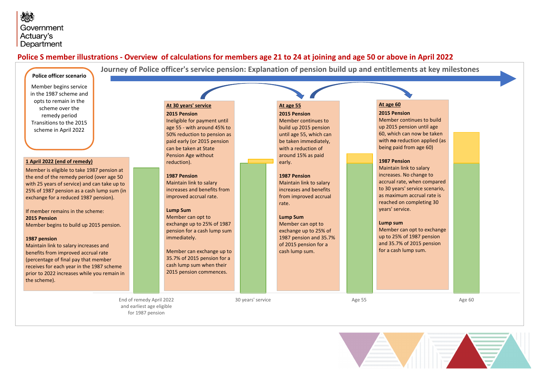## <span id="page-11-0"></span>**Police S member illustrations - Overview of calculations for members age 21 to 24 at joining and age 50 or above in April 2022**

| Police officer scenario<br>Member begins service<br>in the 1987 scheme and<br>opts to remain in the<br>scheme over the<br>remedy period<br>Transitions to the 2015<br>scheme in April 2022<br>1 April 2022 (end of remedy)<br>Member is eligible to take 1987 pension at<br>the end of the remedy period (over age 50<br>with 25 years of service) and can take up to<br>25% of 1987 pension as a cash lump sum (in<br>exchange for a reduced 1987 pension).<br>If member remains in the scheme:<br>2015 Pension<br>Member begins to build up 2015 pension.<br>1987 pension<br>Maintain link to salary increases and<br>benefits from improved accrual rate<br>(percentage of final pay that member<br>receives for each year in the 1987 scheme<br>prior to 2022 increases while you remain in<br>the scheme). | Journey of Police officer's service pension: Explanation of pension build up and entitlements at key milestones<br>At 30 years' service<br>2015 Pension<br>Ineligible for payment until<br>age 55 - with around 45% to<br>50% reduction to pension as<br>paid early (or 2015 pension<br>can be taken at State<br><b>Pension Age without</b><br>reduction).<br><b>1987 Pension</b><br>Maintain link to salary<br>increases and benefits from<br>improved accrual rate.<br><b>Lump Sum</b><br>Member can opt to<br>exchange up to 25% of 1987<br>pension for a cash lump sum<br>immediately.<br>Member can exchange up to<br>35.7% of 2015 pension for a<br>cash lump sum when their<br>2015 pension commences. |                   | At age 55<br>2015 Pension<br>Member continues to<br>build up 2015 pension<br>until age 55, which can<br>be taken immediately,<br>with a reduction of<br>around 15% as paid<br>early.<br>1987 Pension<br>Maintain link to salary<br>increases and benefits<br>from improved accrual<br>rate.<br><b>Lump Sum</b><br>Member can opt to<br>exchange up to 25% of<br>1987 pension and 35.7%<br>of 2015 pension for a<br>cash lump sum. |        | At age 60<br>2015 Pension<br>Member continues to build<br>up 2015 pension until age<br>60, which can now be taken<br>with no reduction applied (as<br>being paid from age 60)<br>1987 Pension<br>Maintain link to salary<br>increases. No change to<br>accrual rate, when compared<br>to 30 years' service scenario,<br>as maximum accrual rate is<br>reached on completing 30<br>years' service.<br>Lump sum<br>Member can opt to exchange<br>up to 25% of 1987 pension<br>and 35.7% of 2015 pension<br>for a cash lump sum. |        |  |
|-----------------------------------------------------------------------------------------------------------------------------------------------------------------------------------------------------------------------------------------------------------------------------------------------------------------------------------------------------------------------------------------------------------------------------------------------------------------------------------------------------------------------------------------------------------------------------------------------------------------------------------------------------------------------------------------------------------------------------------------------------------------------------------------------------------------|---------------------------------------------------------------------------------------------------------------------------------------------------------------------------------------------------------------------------------------------------------------------------------------------------------------------------------------------------------------------------------------------------------------------------------------------------------------------------------------------------------------------------------------------------------------------------------------------------------------------------------------------------------------------------------------------------------------|-------------------|-----------------------------------------------------------------------------------------------------------------------------------------------------------------------------------------------------------------------------------------------------------------------------------------------------------------------------------------------------------------------------------------------------------------------------------|--------|-------------------------------------------------------------------------------------------------------------------------------------------------------------------------------------------------------------------------------------------------------------------------------------------------------------------------------------------------------------------------------------------------------------------------------------------------------------------------------------------------------------------------------|--------|--|
| End of remedy April 2022<br>and earliest age eligible<br>for 1987 pension                                                                                                                                                                                                                                                                                                                                                                                                                                                                                                                                                                                                                                                                                                                                       |                                                                                                                                                                                                                                                                                                                                                                                                                                                                                                                                                                                                                                                                                                               | 30 years' service |                                                                                                                                                                                                                                                                                                                                                                                                                                   | Age 55 |                                                                                                                                                                                                                                                                                                                                                                                                                                                                                                                               | Age 60 |  |

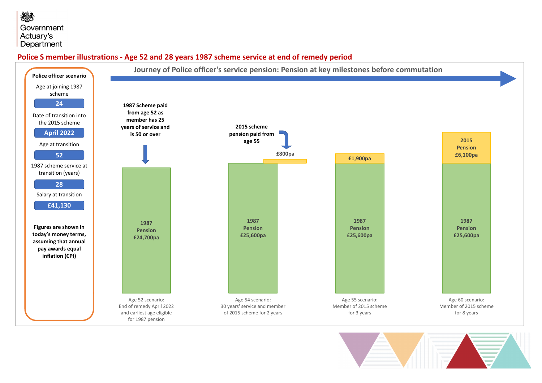## **Police S member illustrations - Age 52 and 28 years 1987 scheme service at end of remedy period**



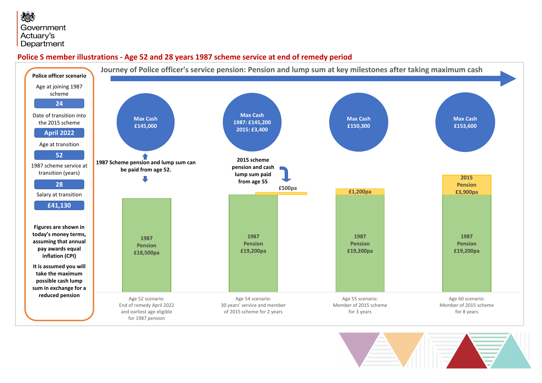## **Police S member illustrations - Age 52 and 28 years 1987 scheme service at end of remedy period**



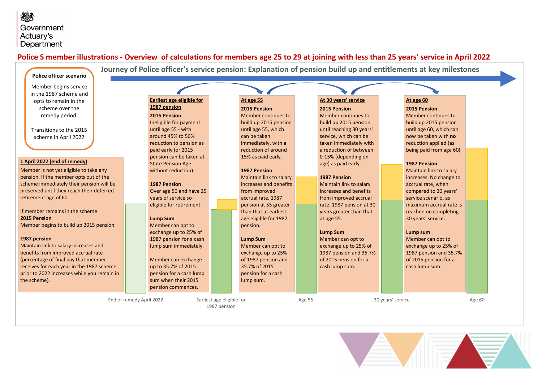## <span id="page-14-0"></span>**Police S member illustrations - Overview of calculations for members age 25 to 29 at joining with less than 25 years' service in April 2022**



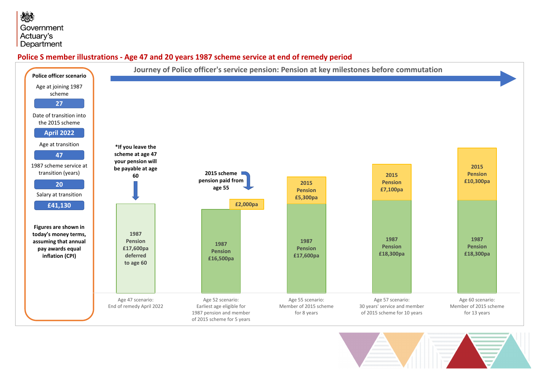## **Police S member illustrations - Age 47 and 20 years 1987 scheme service at end of remedy period**



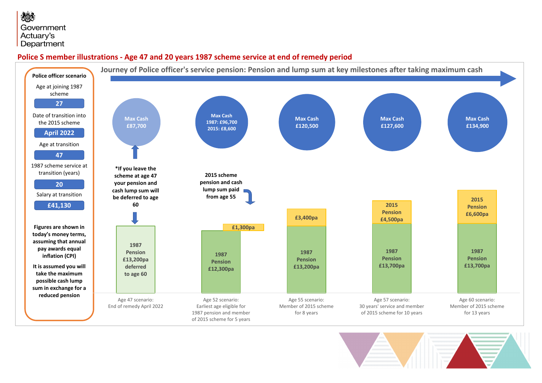## **Police S member illustrations - Age 47 and 20 years 1987 scheme service at end of remedy period**



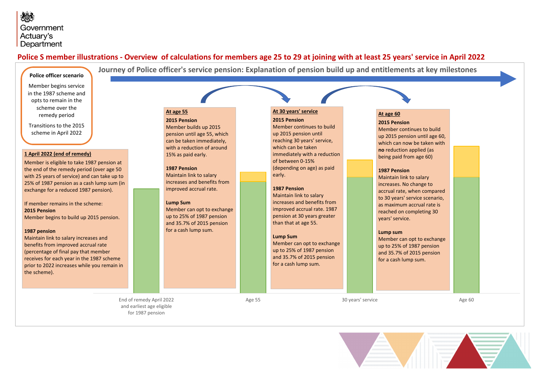## <span id="page-17-0"></span>**Police S member illustrations - Overview of calculations for members age 25 to 29 at joining with at least 25 years' service in April 2022**

|  | Police officer scenario |  |
|--|-------------------------|--|
|--|-------------------------|--|

Member begins service in the 1987 scheme and opts to remain in the scheme over the remedy period

Transitions to the 2015 scheme in April 2022

#### **1 April 2022 (end of remedy)**

Member is eligible to take 1987 pension at the end of the remedy period (over age 50 with 25 years of service) and can take up to 25% of 1987 pension as a cash lump sum (in exchange for a reduced 1987 pension).

If member remains in the scheme: **2015 Pension**  Member begins to build up 2015 pension.

#### **1987 pension**

Maintain link to salary increases and benefits from improved accrual rate (percentage of final pay that member receives for each year in the 1987 scheme prior to 2022 increases while you remain in the scheme).

> End of remedy April 2022 and earliest age eligible for 1987 pension

**At age 55 2015 Pension**

**1987 Pension** Maintain link to salary increases and benefits from improved accrual rate.

**Lump Sum** 

Member can opt to exchange up to 25% of 1987 pension and 35.7% of 2015 pension for a cash lump sum.

Member builds up 2015 pension until age 55, which can be taken immediately, with a reduction of around 15% as paid early.

#### **At 30 years' service**

**Journey of Police officer's service pension: Explanation of pension build up and entitlements at key milestones**

**2015 Pension** Member continues to build up 2015 pension until reaching 30 years' service, which can be taken immediately with a reduction of between 0-15% (depending on age) as paid early.

#### **1987 Pension**

Maintain link to salary increases and benefits from improved accrual rate. 1987 pension at 30 years greater than that at age 55.

#### **Lump Sum**

Member can opt to exchange up to 25% of 1987 pension and 35.7% of 2015 pension for a cash lump sum.

#### **At age 60**

**2015 Pension** Member continues to build up 2015 pension until age 60, which can now be taken with **no** reduction applied (as being paid from age 60)

#### **1987 Pension**

Maintain link to salary increases. No change to accrual rate, when compared to 30 years' service scenario, as maximum accrual rate is reached on completing 30 years' service.

#### **Lump sum**

Member can opt to exchange up to 25% of 1987 pension and 35.7% of 2015 pension for a cash lump sum.

Age 55 30 years' service Age 60

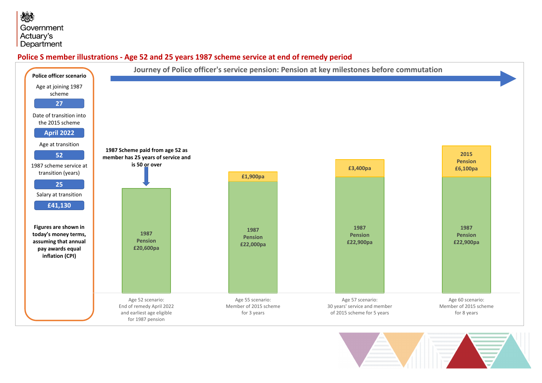## **Police S member illustrations - Age 52 and 25 years 1987 scheme service at end of remedy period**



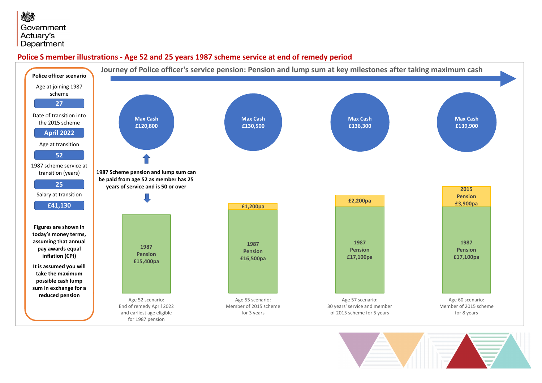## **Police S member illustrations - Age 52 and 25 years 1987 scheme service at end of remedy period**



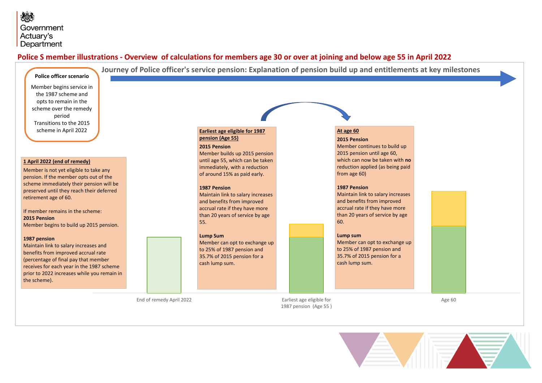### <span id="page-20-0"></span>**Police S member illustrations - Overview of calculations for members age 30 or over at joining and below age 55 in April 2022**

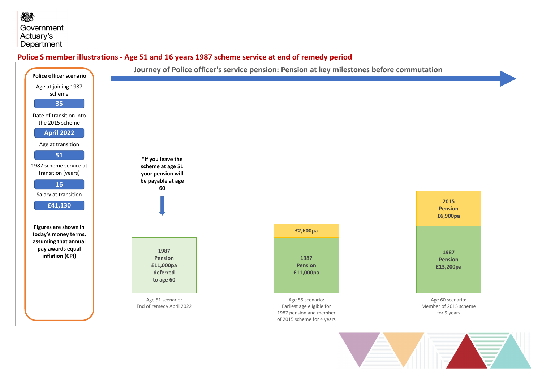**Police S member illustrations - Age 51 and 16 years 1987 scheme service at end of remedy period**



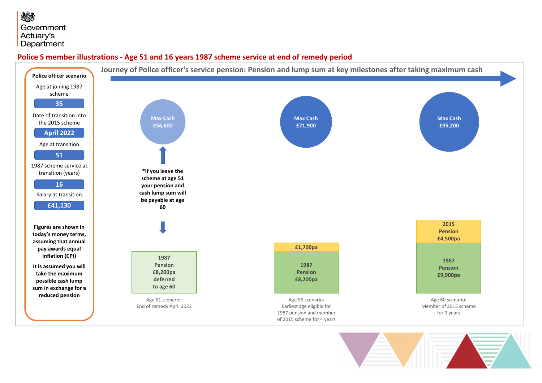## **Police S member illustrations - Age 51 and 16 years 1987 scheme service at end of remedy period**



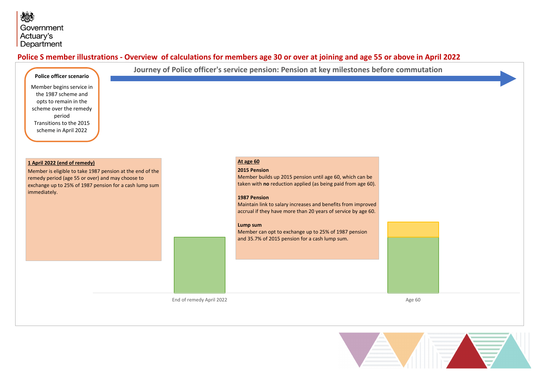## <span id="page-23-0"></span>**Police S member illustrations - Overview of calculations for members age 30 or over at joining and age 55 or above in April 2022**



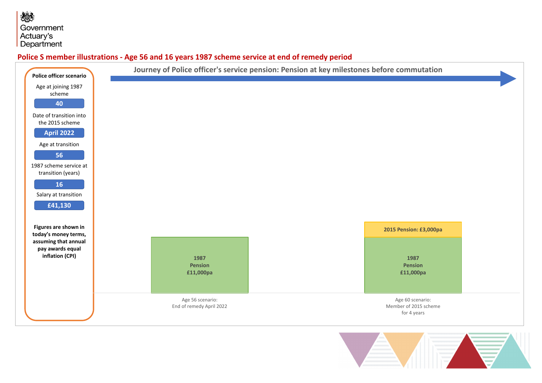**Police S member illustrations - Age 56 and 16 years 1987 scheme service at end of remedy period**